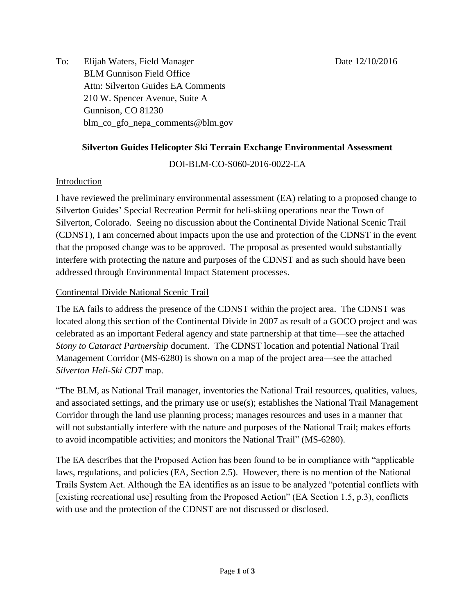To: Elijah Waters, Field Manager Date 12/10/2016 BLM Gunnison Field Office Attn: Silverton Guides EA Comments 210 W. Spencer Avenue, Suite A Gunnison, CO 81230 blm\_co\_gfo\_nepa\_comments@blm.gov

# **Silverton Guides Helicopter Ski Terrain Exchange Environmental Assessment**

## DOI-BLM-CO-S060-2016-0022-EA

### **Introduction**

I have reviewed the preliminary environmental assessment (EA) relating to a proposed change to Silverton Guides' Special Recreation Permit for heli-skiing operations near the Town of Silverton, Colorado. Seeing no discussion about the Continental Divide National Scenic Trail (CDNST), I am concerned about impacts upon the use and protection of the CDNST in the event that the proposed change was to be approved. The proposal as presented would substantially interfere with protecting the nature and purposes of the CDNST and as such should have been addressed through Environmental Impact Statement processes.

### Continental Divide National Scenic Trail

The EA fails to address the presence of the CDNST within the project area. The CDNST was located along this section of the Continental Divide in 2007 as result of a GOCO project and was celebrated as an important Federal agency and state partnership at that time—see the attached *Stony to Cataract Partnership* document. The CDNST location and potential National Trail Management Corridor (MS-6280) is shown on a map of the project area—see the attached *Silverton Heli-Ski CDT* map.

"The BLM, as National Trail manager, inventories the National Trail resources, qualities, values, and associated settings, and the primary use or use(s); establishes the National Trail Management Corridor through the land use planning process; manages resources and uses in a manner that will not substantially interfere with the nature and purposes of the National Trail; makes efforts to avoid incompatible activities; and monitors the National Trail" (MS-6280).

The EA describes that the Proposed Action has been found to be in compliance with "applicable laws, regulations, and policies (EA, Section 2.5). However, there is no mention of the National Trails System Act. Although the EA identifies as an issue to be analyzed "potential conflicts with [existing recreational use] resulting from the Proposed Action" (EA Section 1.5, p.3), conflicts with use and the protection of the CDNST are not discussed or disclosed.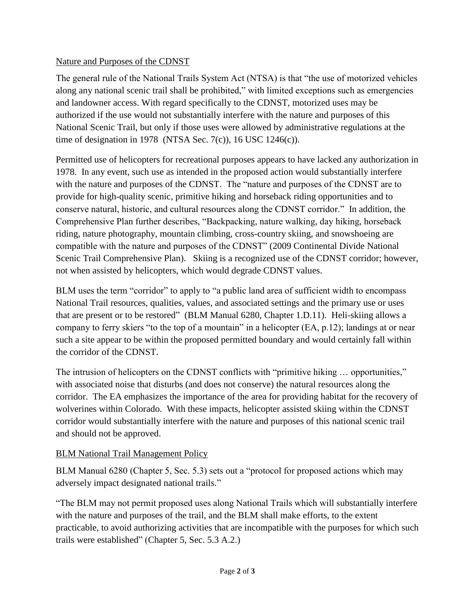### Nature and Purposes of the CDNST

The general rule of the National Trails System Act (NTSA) is that "the use of motorized vehicles along any national scenic trail shall be prohibited," with limited exceptions such as emergencies and landowner access. With regard specifically to the CDNST, motorized uses may be authorized if the use would not substantially interfere with the nature and purposes of this National Scenic Trail, but only if those uses were allowed by administrative regulations at the time of designation in 1978 (NTSA Sec. 7(c)), 16 USC 1246(c)).

Permitted use of helicopters for recreational purposes appears to have lacked any authorization in 1978. In any event, such use as intended in the proposed action would substantially interfere with the nature and purposes of the CDNST. The "nature and purposes of the CDNST are to provide for high-quality scenic, primitive hiking and horseback riding opportunities and to conserve natural, historic, and cultural resources along the CDNST corridor." In addition, the Comprehensive Plan further describes, "Backpacking, nature walking, day hiking, horseback riding, nature photography, mountain climbing, cross-country skiing, and snowshoeing are compatible with the nature and purposes of the CDNST" (2009 Continental Divide National Scenic Trail Comprehensive Plan). Skiing is a recognized use of the CDNST corridor; however, not when assisted by helicopters, which would degrade CDNST values.

BLM uses the term "corridor" to apply to "a public land area of sufficient width to encompass National Trail resources, qualities, values, and associated settings and the primary use or uses that are present or to be restored" (BLM Manual 6280, Chapter 1.D.11). Heli-skiing allows a company to ferry skiers "to the top of a mountain" in a helicopter (EA, p.12); landings at or near such a site appear to be within the proposed permitted boundary and would certainly fall within the corridor of the CDNST.

The intrusion of helicopters on the CDNST conflicts with "primitive hiking ... opportunities," with associated noise that disturbs (and does not conserve) the natural resources along the corridor. The EA emphasizes the importance of the area for providing habitat for the recovery of wolverines within Colorado. With these impacts, helicopter assisted skiing within the CDNST corridor would substantially interfere with the nature and purposes of this national scenic trail and should not be approved.

## **BLM National Trail Management Policy**

BLM Manual 6280 (Chapter 5, Sec. 5.3) sets out a "protocol for proposed actions which may adversely impact designated national trails."

"The BLM may not permit proposed uses along National Trails which will substantially interfere with the nature and purposes of the trail, and the BLM shall make efforts, to the extent practicable, to avoid authorizing activities that are incompatible with the purposes for which such trails were established" (Chapter 5, Sec. 5.3 A.2.)